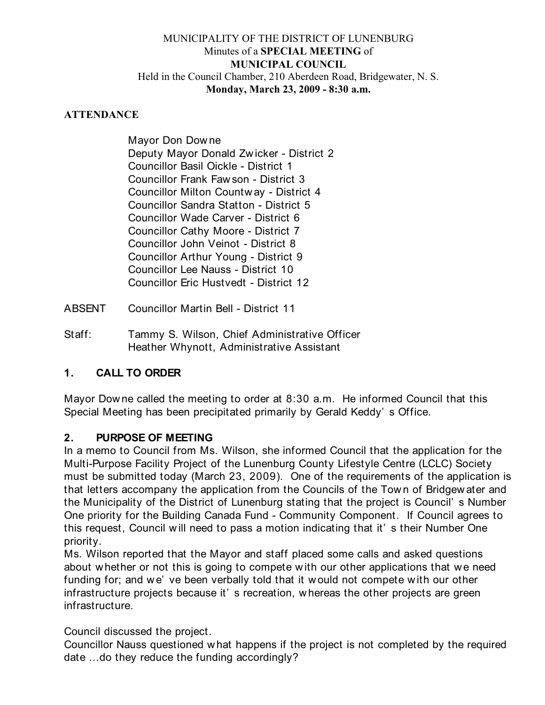#### MUNICIPALITY OF THE DISTRICT OF LUNENBURG Minutes of a **SPECIAL MEETING** of **MUNICIPAL COUNCIL** Held in the Council Chamber, 210 Aberdeen Road, Bridgewater, N. S. **Monday, March 23, 2009 - 8:30 a.m.**

#### **ATTENDANCE**

Mayor Don Dow ne Deputy Mayor Donald Zw icker - District 2 Councillor Basil Oickle - District 1 Councillor Frank Faw son - District 3 Councillor Milton Countw ay - District 4 Councillor Sandra Statton - District 5 Councillor Wade Carver - District 6 Councillor Cathy Moore - District 7 Councillor John Veinot - District 8 Councillor Arthur Young - District 9 Councillor Lee Nauss - District 10 Councillor Eric Hustvedt - District 12

ABSENT Councillor Martin Bell - District 11

Staff: Tammy S. Wilson, Chief Administrative Officer Heather Whynott, Administrative Assistant

# **1. CALL TO ORDER**

Mayor Downe called the meeting to order at 8:30 a.m. He informed Council that this Special Meeting has been precipitated primarily by Gerald Keddy' s Office.

# **2. PURPOSE OF MEETING**

In a memo to Council from Ms. Wilson, she informed Council that the application for the Multi-Purpose Facility Project of the Lunenburg County Lifestyle Centre (LCLC) Society must be submitted today (March 23, 2009). One of the requirements of the application is that letters accompany the application from the Councils of the Town of Bridgew ater and the Municipality of the District of Lunenburg stating that the project is Council' s Number One priority for the Building Canada Fund - Community Component. If Council agrees to this request, Council w ill need to pass a motion indicating that it' s their Number One priority.

Ms. Wilson reported that the Mayor and staff placed some calls and asked questions about whether or not this is going to compete with our other applications that we need funding for; and we' ve been verbally told that it would not compete with our other infrastructure projects because it' s recreation, w hereas the other projects are green infrastructure.

Council discussed the project.

Councillor Nauss questioned w hat happens if the project is not completed by the required date ...do they reduce the funding accordingly?